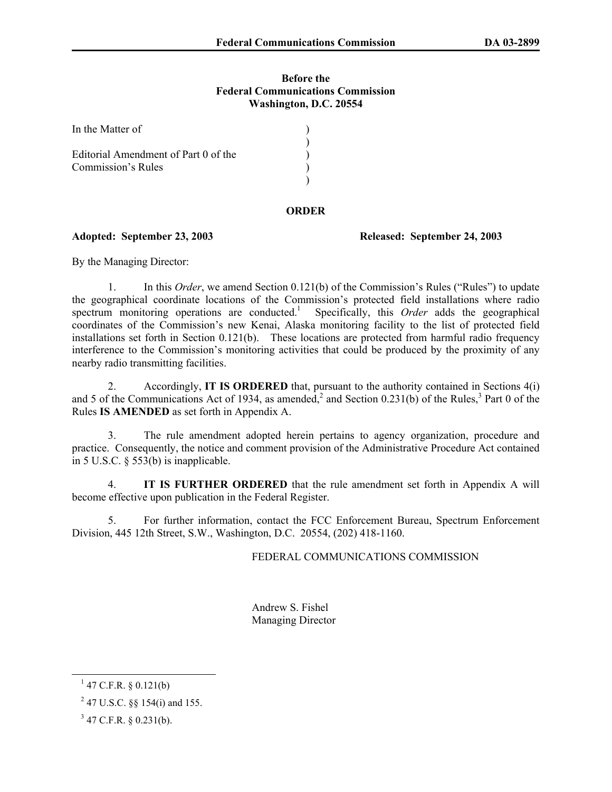## **Before the Federal Communications Commission Washington, D.C. 20554**

| In the Matter of                     |  |
|--------------------------------------|--|
| Editorial Amendment of Part 0 of the |  |
| Commission's Rules                   |  |

## **ORDER**

## **Adopted: September 23, 2003 Released: September 24, 2003**

By the Managing Director:

1. In this *Order*, we amend Section 0.121(b) of the Commission's Rules ("Rules") to update the geographical coordinate locations of the Commission's protected field installations where radio spectrum monitoring operations are conducted.<sup>1</sup> Specifically, this Order adds the geographical coordinates of the Commission's new Kenai, Alaska monitoring facility to the list of protected field installations set forth in Section 0.121(b). These locations are protected from harmful radio frequency interference to the Commission's monitoring activities that could be produced by the proximity of any nearby radio transmitting facilities.

2. Accordingly, **IT IS ORDERED** that, pursuant to the authority contained in Sections 4(i) and 5 of the Communications Act of 1934, as amended,<sup>2</sup> and Section 0.231(b) of the Rules,<sup>3</sup> Part 0 of the Rules **IS AMENDED** as set forth in Appendix A.

3. The rule amendment adopted herein pertains to agency organization, procedure and practice. Consequently, the notice and comment provision of the Administrative Procedure Act contained in 5 U.S.C. § 553(b) is inapplicable.

4. **IT IS FURTHER ORDERED** that the rule amendment set forth in Appendix A will become effective upon publication in the Federal Register.

5. For further information, contact the FCC Enforcement Bureau, Spectrum Enforcement Division, 445 12th Street, S.W., Washington, D.C. 20554, (202) 418-1160.

FEDERAL COMMUNICATIONS COMMISSION

 Andrew S. Fishel Managing Director

 $^{1}$  47 C.F.R. § 0.121(b)

<sup>&</sup>lt;sup>2</sup> 47 U.S.C. §§ 154(i) and 155.

 $3$  47 C.F.R. § 0.231(b).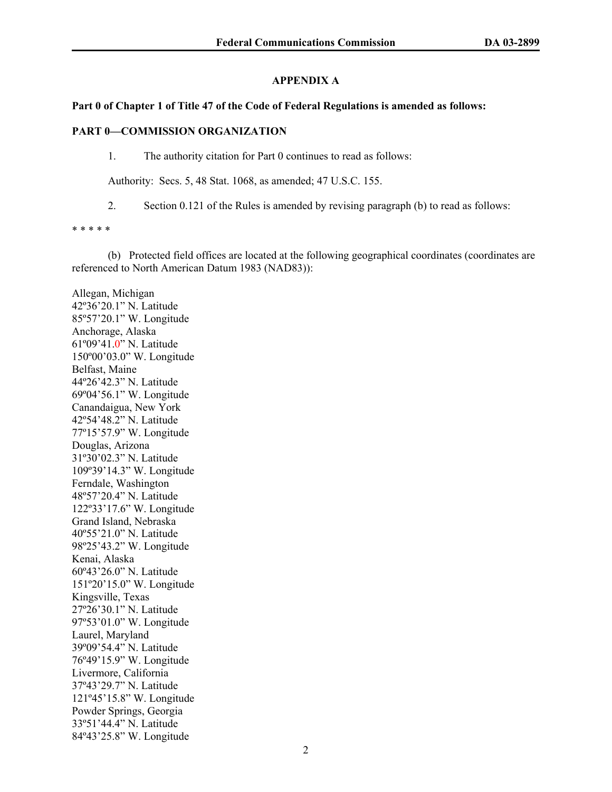# **APPENDIX A**

## **Part 0 of Chapter 1 of Title 47 of the Code of Federal Regulations is amended as follows:**

## **PART 0—COMMISSION ORGANIZATION**

1. The authority citation for Part 0 continues to read as follows:

Authority: Secs. 5, 48 Stat. 1068, as amended; 47 U.S.C. 155.

2. Section 0.121 of the Rules is amended by revising paragraph (b) to read as follows:

\* \* \* \* \*

 (b) Protected field offices are located at the following geographical coordinates (coordinates are referenced to North American Datum 1983 (NAD83)):

Allegan, Michigan 42º36'20.1" N. Latitude 85º57'20.1" W. Longitude Anchorage, Alaska 61º09'41.0" N. Latitude 150º00'03.0" W. Longitude Belfast, Maine 44º26'42.3" N. Latitude 69º04'56.1" W. Longitude Canandaigua, New York 42º54'48.2" N. Latitude 77º15'57.9" W. Longitude Douglas, Arizona 31º30'02.3" N. Latitude 109º39'14.3" W. Longitude Ferndale, Washington 48º57'20.4" N. Latitude 122º33'17.6" W. Longitude Grand Island, Nebraska 40º55'21.0" N. Latitude 98º25'43.2" W. Longitude Kenai, Alaska 60º43'26.0" N. Latitude 151º20'15.0" W. Longitude Kingsville, Texas 27º26'30.1" N. Latitude 97º53'01.0" W. Longitude Laurel, Maryland 39º09'54.4" N. Latitude 76º49'15.9" W. Longitude Livermore, California 37º43'29.7" N. Latitude 121º45'15.8" W. Longitude Powder Springs, Georgia 33º51'44.4" N. Latitude 84º43'25.8" W. Longitude